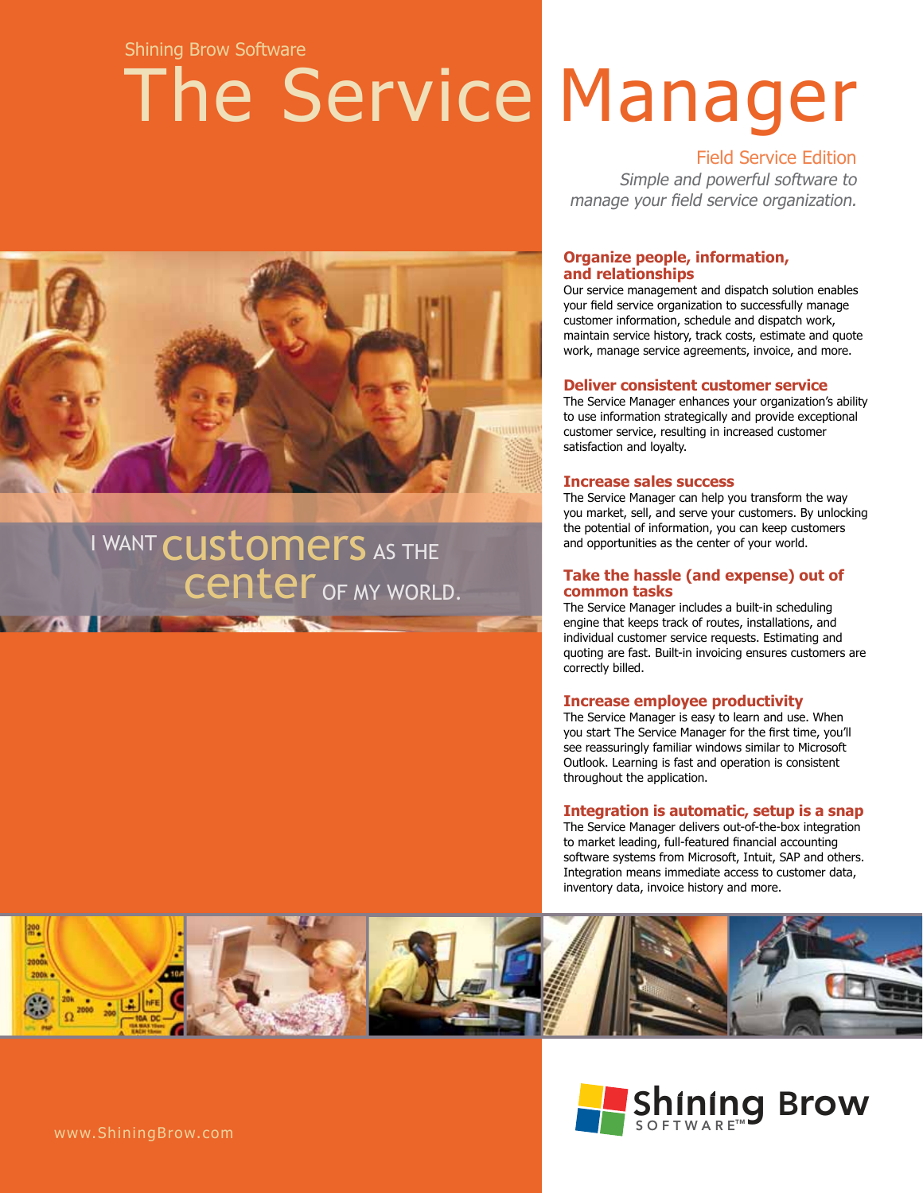#### Shining Brow Software

# The Service Manager

Field Service Edition

Simple and powerful software to manage your field service organization.

#### **Organize people, information, and relationships**

Our service management and dispatch solution enables your field service organization to successfully manage customer information, schedule and dispatch work, maintain service history, track costs, estimate and quote work, manage service agreements, invoice, and more.

#### **Deliver consistent customer service**

The Service Manager enhances your organization's ability to use information strategically and provide exceptional customer service, resulting in increased customer satisfaction and loyalty.

#### **Increase sales success**

The Service Manager can help you transform the way you market, sell, and serve your customers. By unlocking the potential of information, you can keep customers and opportunities as the center of your world.

#### **Take the hassle (and expense) out of common tasks**

The Service Manager includes a built-in scheduling engine that keeps track of routes, installations, and individual customer service requests. Estimating and quoting are fast. Built-in invoicing ensures customers are correctly billed.

#### **Increase employee productivity**

The Service Manager is easy to learn and use. When you start The Service Manager for the first time, you'll see reassuringly familiar windows similar to Microsoft Outlook. Learning is fast and operation is consistent throughout the application.

#### **Integration is automatic, setup is a snap**

The Service Manager delivers out-of-the-box integration to market leading, full-featured financial accounting software systems from Microsoft, Intuit, SAP and others. Integration means immediate access to customer data, inventory data, invoice history and more.







# I WANT CUSTOMETS AS THE Center OF MY WORLD.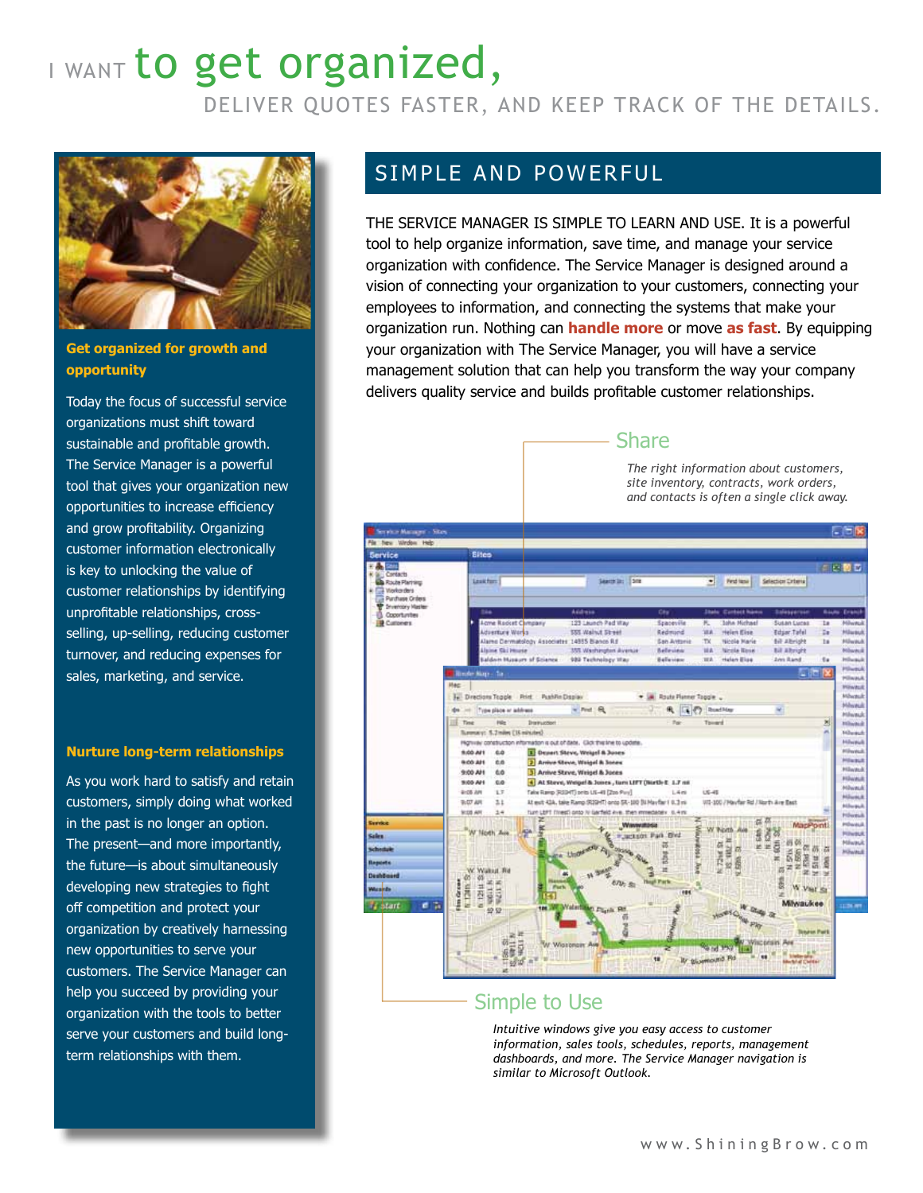# I WANT to get organized,

DELIVER QUOTES FASTER, AND KEEP TRACK OF THE DETAILS.



**Get organized for growth and opportunity**

Today the focus of successful service organizations must shift toward sustainable and profitable growth. The Service Manager is a powerful tool that gives your organization new opportunities to increase efficiency and grow profitability. Organizing customer information electronically is key to unlocking the value of customer relationships by identifying unprofitable relationships, crossselling, up-selling, reducing customer turnover, and reducing expenses for sales, marketing, and service.

#### **Nurture long-term relationships**

As you work hard to satisfy and retain customers, simply doing what worked in the past is no longer an option. The present—and more importantly, the future—is about simultaneously developing new strategies to fight off competition and protect your organization by creatively harnessing new opportunities to serve your customers. The Service Manager can help you succeed by providing your organization with the tools to better serve your customers and build longterm relationships with them.

### SIMPLE AND POWERFUL

THE SERVICE MANAGER IS SIMPLE TO LEARN AND USE. It is a powerful tool to help organize information, save time, and manage your service organization with confidence. The Service Manager is designed around a vision of connecting your organization to your customers, connecting your employees to information, and connecting the systems that make your organization run. Nothing can **handle more** or move **as fast**. By equipping your organization with The Service Manager, you will have a service management solution that can help you transform the way your company delivers quality service and builds profitable customer relationships.

#### Share

*The right information about customers, site inventory, contracts, work orders, and contacts is often a single click away.*



#### Simple to Use

*Intuitive windows give you easy access to customer information, sales tools, schedules, reports, management dashboards, and more. The Service Manager navigation is similar to Microsoft Outlook.*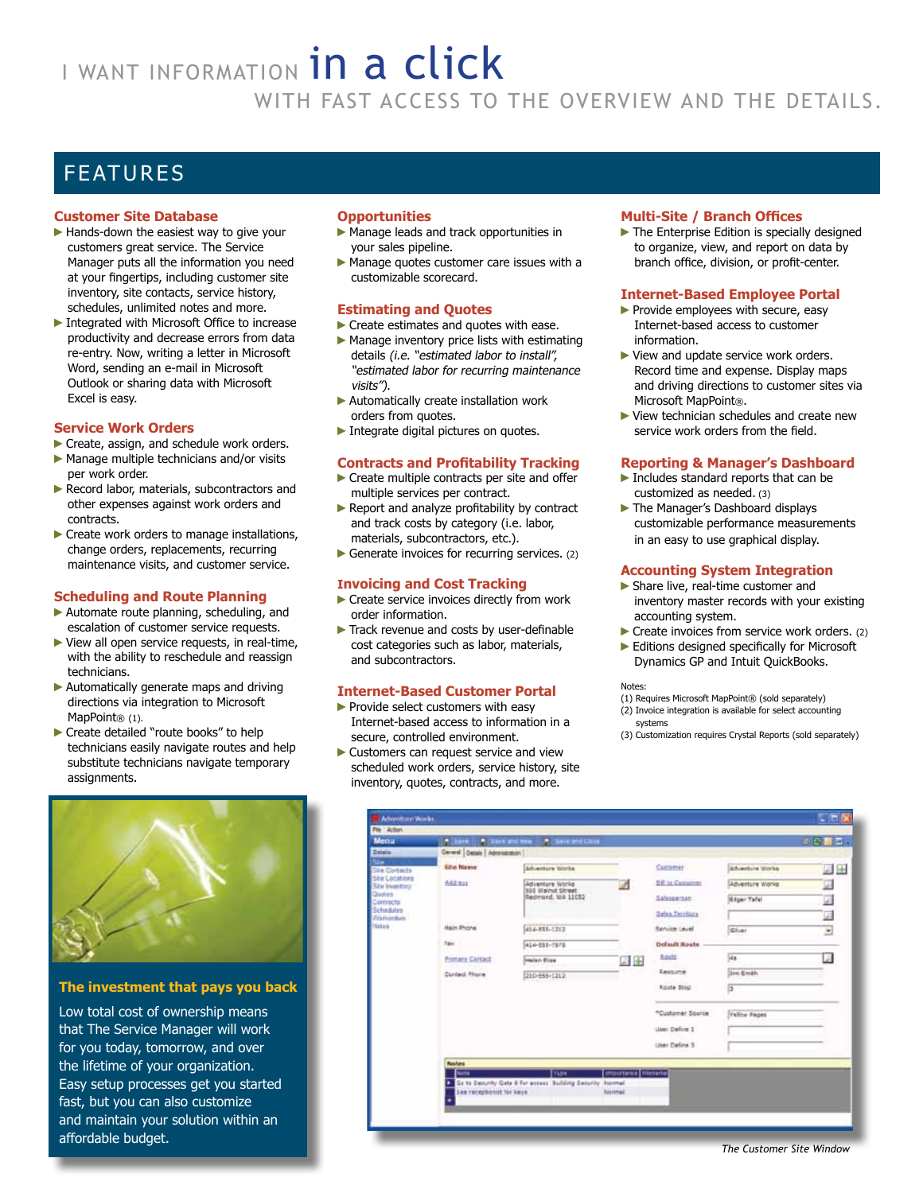# I WANT INFORMATION *in a click* WITH FAST ACCESS TO THE OVERVIEW AND THE DETAILS.

## FEATURES

#### **Customer Site Database**

- ► Hands-down the easiest way to give your customers great service. The Service Manager puts all the information you need at your fingertips, including customer site inventory, site contacts, service history, schedules, unlimited notes and more.
- ►Integrated with Microsoft Office to increase productivity and decrease errors from data re-entry. Now, writing a letter in Microsoft Word, sending an e-mail in Microsoft Outlook or sharing data with Microsoft Excel is easy.

#### **Service Work Orders**

- ► Create, assign, and schedule work orders.
- ► Manage multiple technicians and/or visits per work order.
- ▶ Record labor, materials, subcontractors and other expenses against work orders and contracts.
- ► Create work orders to manage installations, change orders, replacements, recurring maintenance visits, and customer service.

#### **Scheduling and Route Planning**

- ►Automate route planning, scheduling, and escalation of customer service requests.
- ►View all open service requests, in real-time, with the ability to reschedule and reassign technicians.
- ►Automatically generate maps and driving directions via integration to Microsoft MapPoint® (1).
- ►Create detailed "route books" to help technicians easily navigate routes and help substitute technicians navigate temporary assignments.



#### **The investment that pays you back**

Low total cost of ownership means that The Service Manager will work for you today, tomorrow, and over the lifetime of your organization. Easy setup processes get you started fast, but you can also customize and maintain your solution within an affordable budget.

#### **Opportunities**

- ▶ Manage leads and track opportunities in your sales pipeline.
- ►Manage quotes customer care issues with a customizable scorecard.

#### **Estimating and Quotes**

- ►Create estimates and quotes with ease.
- ▶ Manage inventory price lists with estimating details (i.e. "estimated labor to install", "estimated labor for recurring maintenance visits").
- ►Automatically create installation work orders from quotes.
- ►Integrate digital pictures on quotes.

#### **Contracts and Profitability Tracking**

- ► Create multiple contracts per site and offer multiple services per contract.
- ► Report and analyze profitability by contract and track costs by category (i.e. labor, materials, subcontractors, etc.).
- $\blacktriangleright$  Generate invoices for recurring services. (2)

#### **Invoicing and Cost Tracking**

- ►Create service invoices directly from work order information.
- ►Track revenue and costs by user-definable cost categories such as labor, materials, and subcontractors.

#### **Internet-Based Customer Portal**

- ► Provide select customers with easy Internet-based access to information in a secure, controlled environment.
- ►Customers can request service and view scheduled work orders, service history, site inventory, quotes, contracts, and more.

#### **Multi-Site / Branch Offices**

▶ The Enterprise Edition is specially designed to organize, view, and report on data by branch office, division, or profit-center.

#### **Internet-Based Employee Portal**

- ▶ Provide employees with secure, easy Internet-based access to customer information.
- ▶ View and update service work orders. Record time and expense. Display maps and driving directions to customer sites via Microsoft MapPoint®.
- ►View technician schedules and create new service work orders from the field.

#### **Reporting & Manager's Dashboard**

- ►Includes standard reports that can be customized as needed. (3)
- ►The Manager's Dashboard displays customizable performance measurements in an easy to use graphical display.

#### **Accounting System Integration**

- ►Share live, real-time customer and inventory master records with your existing accounting system.
- ► Create invoices from service work orders. (2)
- ▶ Editions designed specifically for Microsoft Dynamics GP and Intuit QuickBooks.

#### Notes:

- (1) Requires Microsoft MapPoint® (sold separately)
- (2) Invoice integration is available for select accounting systems
- (3) Customization requires Crystal Reports (sold separately)

| Menu                                                                                                                                                                  | <b>PERMIT</b>                                               | <b>Class and how the Severed Close</b>                             |            |                                          |                           | (4) 副 国 国 。 |
|-----------------------------------------------------------------------------------------------------------------------------------------------------------------------|-------------------------------------------------------------|--------------------------------------------------------------------|------------|------------------------------------------|---------------------------|-------------|
| <b>Delate</b><br><b>Raw</b><br><b>Site Contacts</b><br><b>Stellacatons</b><br><b>Ste Inventory</b><br>Quates<br>Contracts<br>Schedules<br><b>Visitoritum</b><br>Hetwa | Cened Detail Administrator                                  |                                                                    |            |                                          |                           |             |
|                                                                                                                                                                       | <b>Site Name</b>                                            | <b>Adventure Works</b>                                             | d.<br>國田   | Customer                                 | <b>Adventure Works</b>    | 契集          |
|                                                                                                                                                                       | Address                                                     | <b>Adventure Works</b><br>\$55 Visinut Street<br>Redmond, WA 11052 |            | <b>Diff</b> to Customer                  | <b>Adventure Works</b>    | 囸           |
|                                                                                                                                                                       |                                                             |                                                                    |            | Salespersan                              | <b><i>Gégar Tafel</i></b> | W)          |
|                                                                                                                                                                       |                                                             |                                                                    |            | <b>Sales Territors</b>                   |                           | Ø           |
|                                                                                                                                                                       | <b>Hain Phone</b>                                           | 414-555-1212                                                       |            | <b>Sarvice Level</b><br>Silvan           |                           | $\equiv$    |
|                                                                                                                                                                       | Fax:                                                        | 414-533-7373                                                       |            | Default Route                            |                           |             |
|                                                                                                                                                                       | <b>Primary Cardest</b>                                      | Heisn Eise                                                         |            | tractor<br>Resource<br><b>Route Stop</b> | ika.                      | ú.          |
|                                                                                                                                                                       | Curtest Phone                                               | 210-555-1212                                                       |            |                                          | <b>Jim Emith</b>          |             |
|                                                                                                                                                                       |                                                             |                                                                    |            |                                          | 5                         |             |
|                                                                                                                                                                       |                                                             |                                                                    |            | "Customer Source                         | <b>Yellow Fages</b>       |             |
|                                                                                                                                                                       |                                                             |                                                                    |            | User Defire I                            |                           |             |
|                                                                                                                                                                       |                                                             |                                                                    |            | Uner Define 3                            |                           |             |
|                                                                                                                                                                       | <b>Bushes</b>                                               |                                                                    |            |                                          |                           |             |
|                                                                                                                                                                       | mourtance riterrarte<br><b>Northe</b><br><b>Trust</b>       |                                                                    |            |                                          |                           |             |
|                                                                                                                                                                       | Sa to Security Gate 6 for access Building Security Inserted |                                                                    |            |                                          |                           |             |
|                                                                                                                                                                       | Sea recepbonist for limit.                                  |                                                                    | have real. |                                          |                           |             |